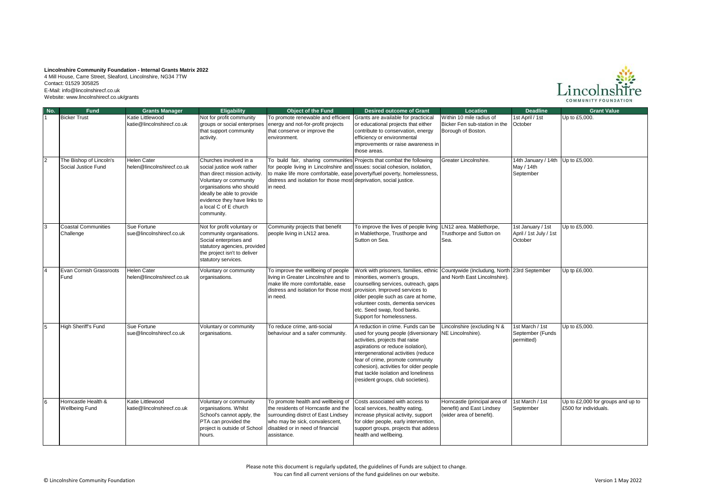## **Lincolnshire Community Foundation - Internal Grants Matrix 2022**

4 Mill House, Carre Street, Sleaford, Lincolnshire, NG34 7TW Contact: 01529 305825 E-Mail: info@lincolnshirecf.co.uk Website: www.lincolnshirecf.co.uk/grants



| No.            | <b>Fund</b>                                    | <b>Grants Manager</b>                          | <b>Eligability</b>                                                                                                                                                                                                                              | <b>Object of the Fund</b>                                                                                                                                                                                                            | <b>Desired outcome of Grant</b>                                                                                                                                                                                                                                                                                                                       | Location                                                                               | <b>Deadline</b>                                              | <b>Grant Value</b>                                         |
|----------------|------------------------------------------------|------------------------------------------------|-------------------------------------------------------------------------------------------------------------------------------------------------------------------------------------------------------------------------------------------------|--------------------------------------------------------------------------------------------------------------------------------------------------------------------------------------------------------------------------------------|-------------------------------------------------------------------------------------------------------------------------------------------------------------------------------------------------------------------------------------------------------------------------------------------------------------------------------------------------------|----------------------------------------------------------------------------------------|--------------------------------------------------------------|------------------------------------------------------------|
|                | <b>Bicker Trust</b>                            | Katie Littlewood<br>katie@lincolnshirecf.co.uk | Not for profit community<br>groups or social enterprises<br>that support community<br>activity.                                                                                                                                                 | To promote renewable and efficient<br>energy and not-for-profit projects<br>that conserve or improve the<br>environment.                                                                                                             | Grants are available for practicical<br>or educational projects that either<br>contribute to conservation, energy<br>efficiency or environmental<br>improvements or raise awareness in<br>those areas.                                                                                                                                                | Within 10 mile radius of<br>Bicker Fen sub-station in the<br>Borough of Boston.        | 1st April / 1st<br>October                                   | Up to £5,000.                                              |
| $\overline{2}$ | The Bishop of Lincoln's<br>Social Justice Fund | Helen Cater<br>helen@lincolnshirecf.co.uk      | Churches involved in a<br>social justice work rather<br>than direct mission activity.<br>Voluntary or community<br>organisations who should<br>ideally be able to provide<br>evidence they have links to<br>a local C of E church<br>community. | To build fair, sharing communities Projects that combat the following<br>for people living in Lincolnshire and issues: social cohesion, isolation,<br>distress and isolation for those most deprivation, social justice.<br>in need. | to make life more comfortable, ease poverty/fuel poverty, homelessness,                                                                                                                                                                                                                                                                               | Greater Lincolnshire.                                                                  | 14th January / 14th Up to £5,000.<br>May / 14th<br>September |                                                            |
| 3              | <b>Coastal Communities</b><br>Challenge        | Sue Fortune<br>sue@lincolnshirecf.co.uk        | Not for profit voluntary or<br>community organisations.<br>Social enterprises and<br>statutory agencies, provided<br>the project isn't to deliver<br>statutory services.                                                                        | Community projects that benefit<br>people living in LN12 area.                                                                                                                                                                       | To improve the lives of people living<br>in Mablethorpe, Trusthorpe and<br>Sutton on Sea.                                                                                                                                                                                                                                                             | LN12 area. Mablethorpe,<br>Trusthorpe and Sutton on<br>Sea.                            | 1st January / 1st<br>April / 1st July / 1st<br>October       | Up to £5,000.                                              |
| $\overline{4}$ | Evan Cornish Grassroots<br>Fund                | Helen Cater<br>helen@lincolnshirecf.co.uk      | Voluntary or community<br>organisations.                                                                                                                                                                                                        | To improve the wellbeing of people<br>living in Greater Lincolnshire and to<br>make life more comfortable, ease<br>distress and isolation for those most<br>in need.                                                                 | Work with prisoners, families, ethnic Countywide (Includung, North 23rd September<br>minorities, women's groups,<br>counselling services, outreach, gaps<br>provision. Improved services to<br>older people such as care at home,<br>volunteer costs, dementia services<br>etc. Seed swap, food banks.<br>Support for homelessness.                   | and North East Lincolnshire).                                                          |                                                              | Up tp £6,000.                                              |
| 5              | High Sheriff's Fund                            | Sue Fortune<br>sue@lincolnshirecf.co.uk        | Voluntary or community<br>organisations.                                                                                                                                                                                                        | To reduce crime, anti-social<br>behaviour and a safer community.                                                                                                                                                                     | A reduction in crime. Funds can be<br>used for young people (diversionary<br>activities, projects that raise<br>aspirations or reduce isolation),<br>intergenerational activities (reduce<br>fear of crime, promote community<br>cohesion), activities for older people<br>that tackle isolation and loneliness<br>(resident groups, club societies). | Lincolnshire (excluding N &<br>NE Lincolnshire).                                       | 1st March / 1st<br>September (Funds<br>permitted)            | Up to £5,000.                                              |
| 6              | Horncastle Health &<br><b>Wellbeing Fund</b>   | Katie Littlewood<br>katie@lincolnshirecf.co.uk | Voluntary or community<br>organisations. Whilst<br>School's cannot apply, the<br>PTA can provided the<br>project is outside of School<br>hours.                                                                                                 | To promote health and wellbeing of<br>the residents of Horncastle and the<br>surrounding distrct of East Lindsey<br>who may be sick, convalescent,<br>disabled or in need of financial<br>assistance.                                | Costs associated with access to<br>local services, healthy eating,<br>increase physical activity, support<br>for older people, early intervention,<br>support groups, projects that addess<br>health and wellbeing.                                                                                                                                   | Horncastle (principal area of<br>benefit) and East Lindsey<br>(wider area of benefit). | 1st March / 1st<br>September                                 | Up to £2,000 for groups and up to<br>£500 for individuals. |